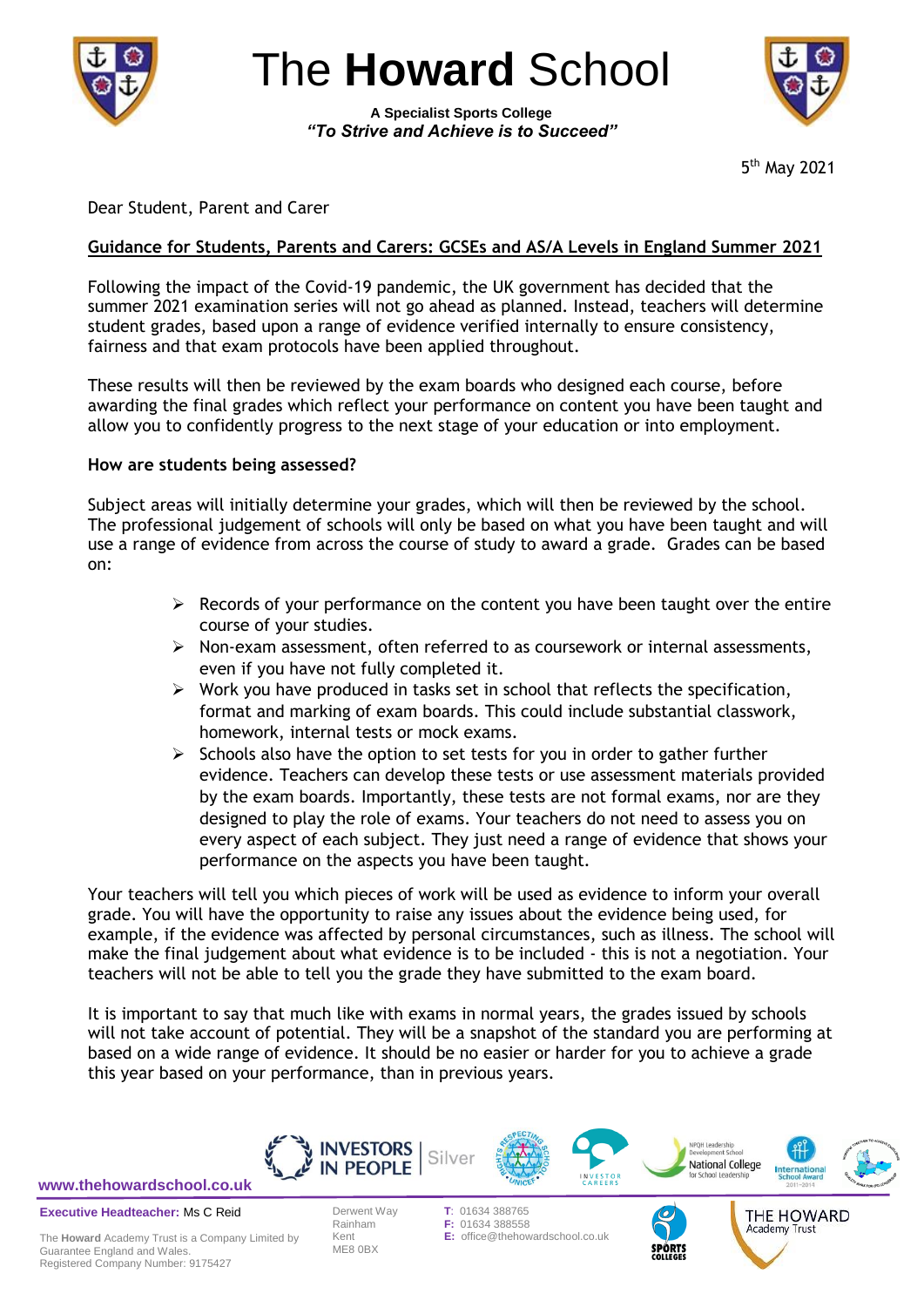

The **Howard** School

**A Specialist Sports College** *"To Strive and Achieve is to Succeed"*



5 th May 2021

Dear Student, Parent and Carer

# **Guidance for Students, Parents and Carers: GCSEs and AS/A Levels in England Summer 2021**

Following the impact of the Covid-19 pandemic, the UK government has decided that the summer 2021 examination series will not go ahead as planned. Instead, teachers will determine student grades, based upon a range of evidence verified internally to ensure consistency, fairness and that exam protocols have been applied throughout.

These results will then be reviewed by the exam boards who designed each course, before awarding the final grades which reflect your performance on content you have been taught and allow you to confidently progress to the next stage of your education or into employment.

#### **How are students being assessed?**

Subject areas will initially determine your grades, which will then be reviewed by the school. The professional judgement of schools will only be based on what you have been taught and will use a range of evidence from across the course of study to award a grade. Grades can be based on:

- $\triangleright$  Records of your performance on the content you have been taught over the entire course of your studies.
- $\triangleright$  Non-exam assessment, often referred to as coursework or internal assessments, even if you have not fully completed it.
- $\triangleright$  Work you have produced in tasks set in school that reflects the specification, format and marking of exam boards. This could include substantial classwork, homework, internal tests or mock exams.
- $\triangleright$  Schools also have the option to set tests for you in order to gather further evidence. Teachers can develop these tests or use assessment materials provided by the exam boards. Importantly, these tests are not formal exams, nor are they designed to play the role of exams. Your teachers do not need to assess you on every aspect of each subject. They just need a range of evidence that shows your performance on the aspects you have been taught.

Your teachers will tell you which pieces of work will be used as evidence to inform your overall grade. You will have the opportunity to raise any issues about the evidence being used, for example, if the evidence was affected by personal circumstances, such as illness. The school will make the final judgement about what evidence is to be included - this is not a negotiation. Your teachers will not be able to tell you the grade they have submitted to the exam board.

It is important to say that much like with exams in normal years, the grades issued by schools will not take account of potential. They will be a snapshot of the standard you are performing at based on a wide range of evidence. It should be no easier or harder for you to achieve a grade this year based on your performance, than in previous years.



**[www.thehowardschool.co.uk](http://www.thehowardschool.co.uk/)**

**Executive Headteacher:** Ms C Reid

The **Howard** Academy Trust is a Company Limited by Guarantee England and Wales. Registered Company Number: 9175427

ME8 0BX

**F: 01634 388558** Kent **E:** office@thehowardschool.co.uk

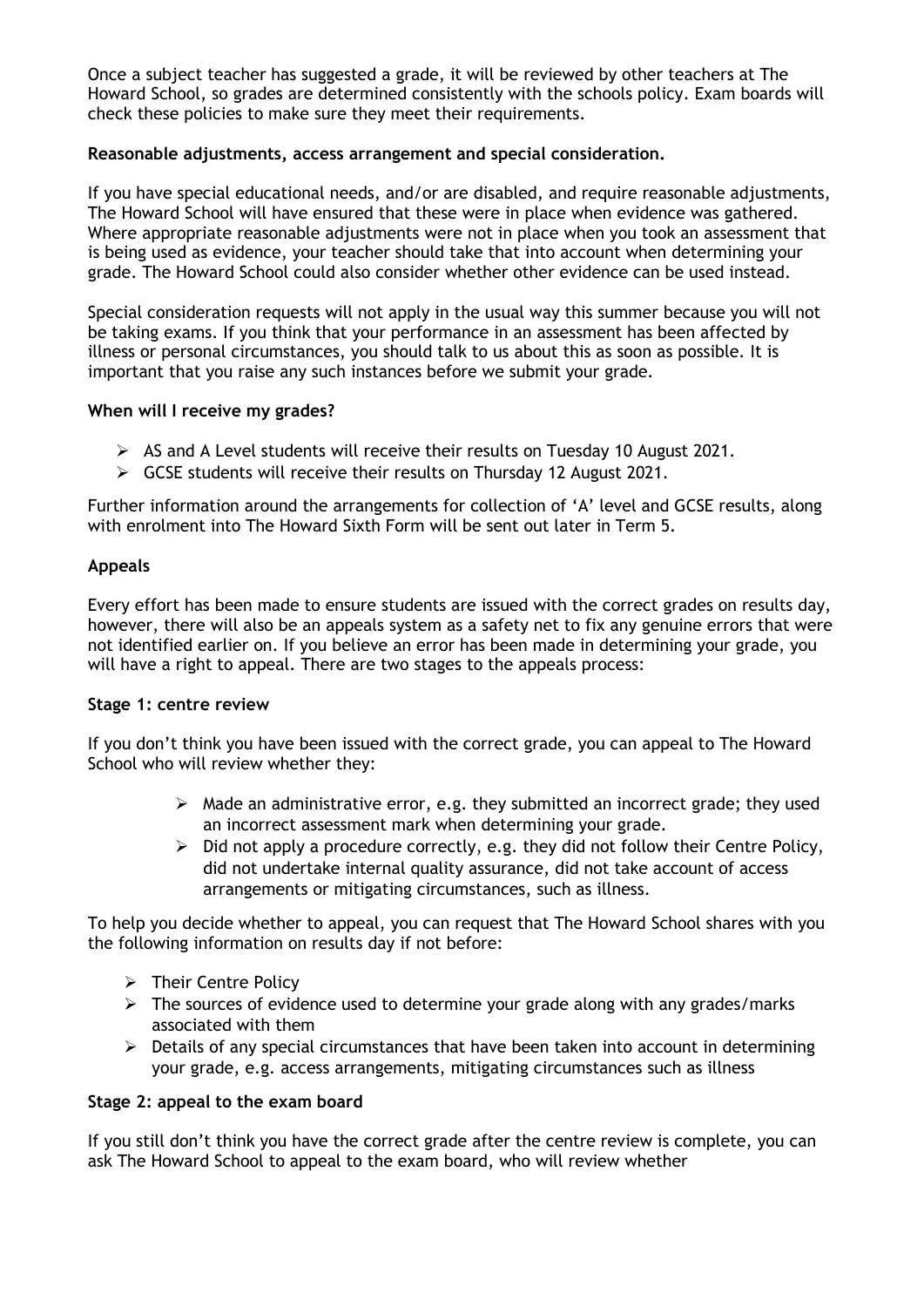Once a subject teacher has suggested a grade, it will be reviewed by other teachers at The Howard School, so grades are determined consistently with the schools policy. Exam boards will check these policies to make sure they meet their requirements.

# **Reasonable adjustments, access arrangement and special consideration.**

If you have special educational needs, and/or are disabled, and require reasonable adjustments, The Howard School will have ensured that these were in place when evidence was gathered. Where appropriate reasonable adjustments were not in place when you took an assessment that is being used as evidence, your teacher should take that into account when determining your grade. The Howard School could also consider whether other evidence can be used instead.

Special consideration requests will not apply in the usual way this summer because you will not be taking exams. If you think that your performance in an assessment has been affected by illness or personal circumstances, you should talk to us about this as soon as possible. It is important that you raise any such instances before we submit your grade.

### **When will I receive my grades?**

- $\triangleright$  AS and A Level students will receive their results on Tuesday 10 August 2021.
- GCSE students will receive their results on Thursday 12 August 2021.

Further information around the arrangements for collection of 'A' level and GCSE results, along with enrolment into The Howard Sixth Form will be sent out later in Term 5.

### **Appeals**

Every effort has been made to ensure students are issued with the correct grades on results day, however, there will also be an appeals system as a safety net to fix any genuine errors that were not identified earlier on. If you believe an error has been made in determining your grade, you will have a right to appeal. There are two stages to the appeals process:

### **Stage 1: centre review**

If you don't think you have been issued with the correct grade, you can appeal to The Howard School who will review whether they:

- $\triangleright$  Made an administrative error, e.g. they submitted an incorrect grade; they used an incorrect assessment mark when determining your grade.
- $\triangleright$  Did not apply a procedure correctly, e.g. they did not follow their Centre Policy, did not undertake internal quality assurance, did not take account of access arrangements or mitigating circumstances, such as illness.

To help you decide whether to appeal, you can request that The Howard School shares with you the following information on results day if not before:

- $\triangleright$  Their Centre Policy
- $\triangleright$  The sources of evidence used to determine your grade along with any grades/marks associated with them
- $\triangleright$  Details of any special circumstances that have been taken into account in determining your grade, e.g. access arrangements, mitigating circumstances such as illness

### **Stage 2: appeal to the exam board**

If you still don't think you have the correct grade after the centre review is complete, you can ask The Howard School to appeal to the exam board, who will review whether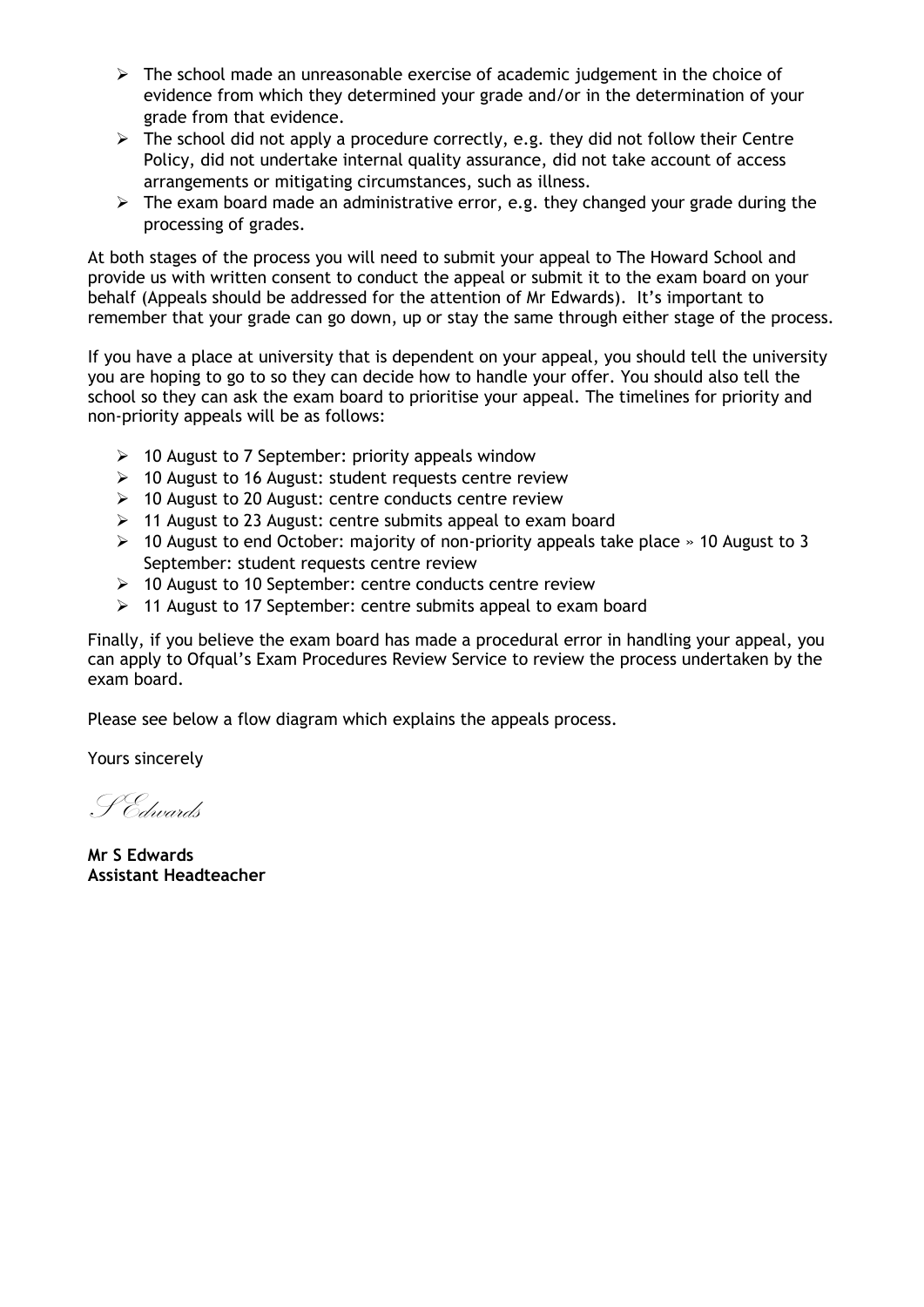- $\triangleright$  The school made an unreasonable exercise of academic judgement in the choice of evidence from which they determined your grade and/or in the determination of your grade from that evidence.
- $\triangleright$  The school did not apply a procedure correctly, e.g. they did not follow their Centre Policy, did not undertake internal quality assurance, did not take account of access arrangements or mitigating circumstances, such as illness.
- $\triangleright$  The exam board made an administrative error, e.g. they changed your grade during the processing of grades.

At both stages of the process you will need to submit your appeal to The Howard School and provide us with written consent to conduct the appeal or submit it to the exam board on your behalf (Appeals should be addressed for the attention of Mr Edwards). It's important to remember that your grade can go down, up or stay the same through either stage of the process.

If you have a place at university that is dependent on your appeal, you should tell the university you are hoping to go to so they can decide how to handle your offer. You should also tell the school so they can ask the exam board to prioritise your appeal. The timelines for priority and non-priority appeals will be as follows:

- $\geq$  10 August to 7 September: priority appeals window
- $\geq$  10 August to 16 August: student requests centre review
- 10 August to 20 August: centre conducts centre review
- $\geq$  11 August to 23 August: centre submits appeal to exam board
- $\geq$  10 August to end October: majority of non-priority appeals take place » 10 August to 3 September: student requests centre review
- > 10 August to 10 September: centre conducts centre review
- $\geq$  11 August to 17 September: centre submits appeal to exam board

Finally, if you believe the exam board has made a procedural error in handling your appeal, you can apply to Ofqual's Exam Procedures Review Service to review the process undertaken by the exam board.

Please see below a flow diagram which explains the appeals process.

Yours sincerely

S Edwards

**Mr S Edwards Assistant Headteacher**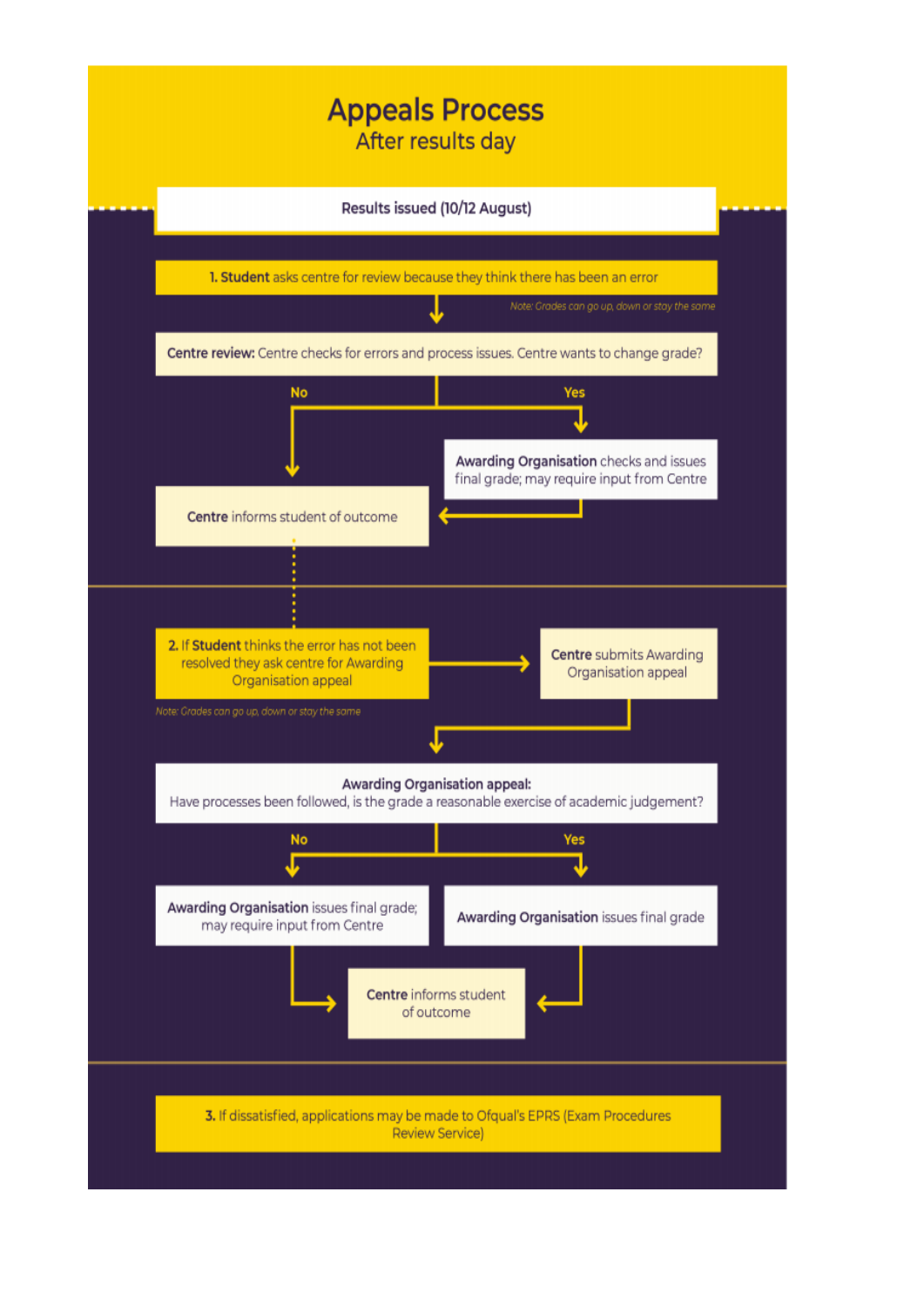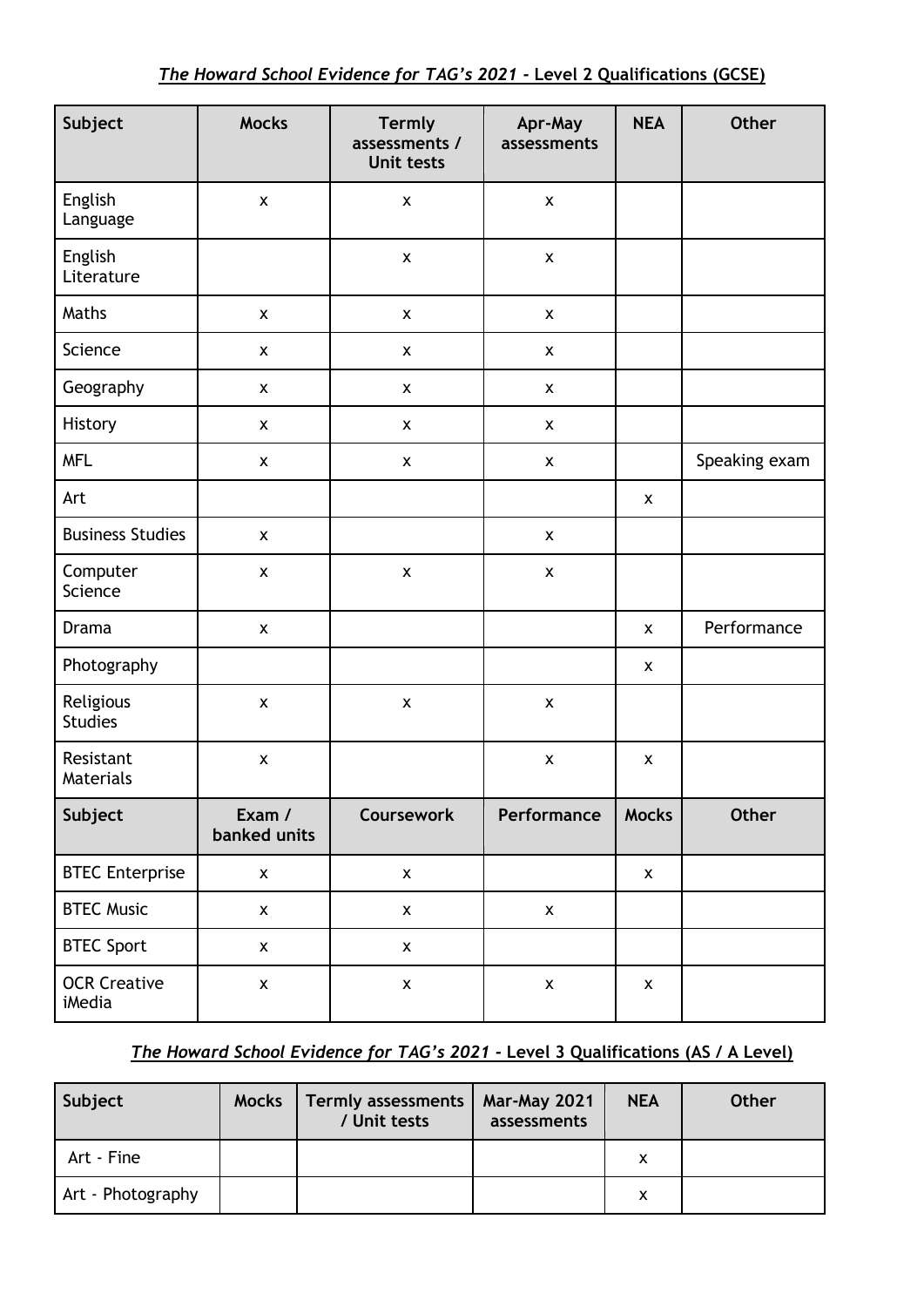| Subject                       | <b>Mocks</b>           | <b>Termly</b><br>assessments /<br><b>Unit tests</b> | Apr-May<br>assessments | <b>NEA</b>         | <b>Other</b>  |
|-------------------------------|------------------------|-----------------------------------------------------|------------------------|--------------------|---------------|
| English<br>Language           | $\pmb{\times}$         | $\pmb{\times}$                                      | $\pmb{\mathsf{x}}$     |                    |               |
| English<br>Literature         |                        | $\pmb{\mathsf{x}}$                                  | $\pmb{\mathsf{x}}$     |                    |               |
| Maths                         | $\pmb{\times}$         | $\pmb{\times}$                                      | $\pmb{\mathsf{x}}$     |                    |               |
| Science                       | $\pmb{\mathsf{X}}$     | $\pmb{\mathsf{X}}$                                  | $\pmb{\mathsf{X}}$     |                    |               |
| Geography                     | $\pmb{\mathsf{X}}$     | $\pmb{\mathsf{X}}$                                  | $\pmb{\mathsf{X}}$     |                    |               |
| History                       | $\pmb{\mathsf{x}}$     | $\pmb{\mathsf{X}}$                                  | $\pmb{\mathsf{X}}$     |                    |               |
| <b>MFL</b>                    | $\pmb{\mathsf{X}}$     | $\pmb{\times}$                                      | $\pmb{\mathsf{X}}$     |                    | Speaking exam |
| Art                           |                        |                                                     |                        | $\mathsf{x}$       |               |
| <b>Business Studies</b>       | $\pmb{\mathsf{X}}$     |                                                     | $\pmb{\mathsf{x}}$     |                    |               |
| Computer<br>Science           | $\pmb{\mathsf{X}}$     | $\pmb{\mathsf{x}}$                                  | $\pmb{\mathsf{x}}$     |                    |               |
| <b>Drama</b>                  | $\pmb{\mathsf{x}}$     |                                                     |                        | $\mathsf{x}$       | Performance   |
| Photography                   |                        |                                                     |                        | $\mathsf{x}$       |               |
| Religious<br><b>Studies</b>   | $\pmb{\mathsf{X}}$     | $\pmb{\times}$                                      | $\pmb{\times}$         |                    |               |
| Resistant<br><b>Materials</b> | $\pmb{\mathsf{X}}$     |                                                     | $\pmb{\mathsf{X}}$     | $\pmb{\mathsf{X}}$ |               |
| Subject                       | Exam /<br>banked units | Coursework                                          | Performance            | <b>Mocks</b>       | <b>Other</b>  |
| <b>BTEC Enterprise</b>        | $\pmb{\mathsf{X}}$     | $\pmb{\mathsf{x}}$                                  |                        | $\pmb{\mathsf{X}}$ |               |
| <b>BTEC Music</b>             | $\pmb{\mathsf{x}}$     | $\pmb{\mathsf{X}}$                                  | $\pmb{\mathsf{x}}$     |                    |               |
| <b>BTEC Sport</b>             | $\pmb{\mathsf{X}}$     | $\pmb{\mathsf{X}}$                                  |                        |                    |               |
| <b>OCR Creative</b><br>iMedia | $\pmb{\mathsf{x}}$     | $\pmb{\mathsf{x}}$                                  | $\pmb{\mathsf{x}}$     | $\pmb{\mathsf{X}}$ |               |

# *The Howard School Evidence for TAG's 2021 -* **Level 3 Qualifications (AS / A Level)**

| Subject           | <b>Mocks</b> | <b>Termly assessments</b><br>/ Unit tests | <b>Mar-May 2021</b><br>assessments | <b>NEA</b> | <b>Other</b> |
|-------------------|--------------|-------------------------------------------|------------------------------------|------------|--------------|
| Art - Fine        |              |                                           |                                    | x          |              |
| Art - Photography |              |                                           |                                    | x          |              |